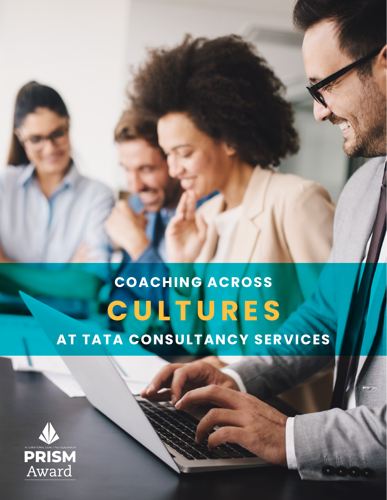# **COACHING ACROSS CULTURES AT TATA CONSULTANCY SERVICES**

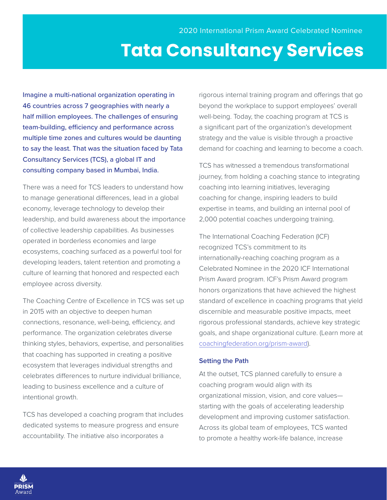## **Tata Consultancy Services**

Imagine a multi-national organization operating in 46 countries across 7 geographies with nearly a half million employees. The challenges of ensuring team-building, efficiency and performance across multiple time zones and cultures would be daunting to say the least. That was the situation faced by Tata Consultancy Services (TCS), a global IT and consulting company based in Mumbai, India.

There was a need for TCS leaders to understand how to manage generational differences, lead in a global economy, leverage technology to develop their leadership, and build awareness about the importance of collective leadership capabilities. As businesses operated in borderless economies and large ecosystems, coaching surfaced as a powerful tool for developing leaders, talent retention and promoting a culture of learning that honored and respected each employee across diversity.

The Coaching Centre of Excellence in TCS was set up in 2015 with an objective to deepen human connections, resonance, well-being, efficiency, and performance. The organization celebrates diverse thinking styles, behaviors, expertise, and personalities that coaching has supported in creating a positive ecosystem that leverages individual strengths and celebrates differences to nurture individual brilliance, leading to business excellence and a culture of intentional growth.

TCS has developed a coaching program that includes dedicated systems to measure progress and ensure accountability. The initiative also incorporates a

rigorous internal training program and offerings that go beyond the workplace to support employees' overall well-being. Today, the coaching program at TCS is a significant part of the organization's development strategy and the value is visible through a proactive demand for coaching and learning to become a coach.

TCS has witnessed a tremendous transformational journey, from holding a coaching stance to integrating coaching into learning initiatives, leveraging coaching for change, inspiring leaders to build expertise in teams, and building an internal pool of 2,000 potential coaches undergoing training.

The International Coaching Federation (ICF) recognized TCS's commitment to its internationally-reaching coaching program as a Celebrated Nominee in the 2020 ICF International Prism Award program. ICF's Prism Award program honors organizations that have achieved the highest standard of excellence in coaching programs that yield discernible and measurable positive impacts, meet rigorous professional standards, achieve key strategic goals, and shape organizational culture. (Learn more at [coachingfederation.org/prism-award\)](https://coachingfederation.org/prism-award).

#### **Setting the Path**

At the outset, TCS planned carefully to ensure a coaching program would align with its organizational mission, vision, and core values starting with the goals of accelerating leadership development and improving customer satisfaction. Across its global team of employees, TCS wanted to promote a healthy work-life balance, increase

PRISM ward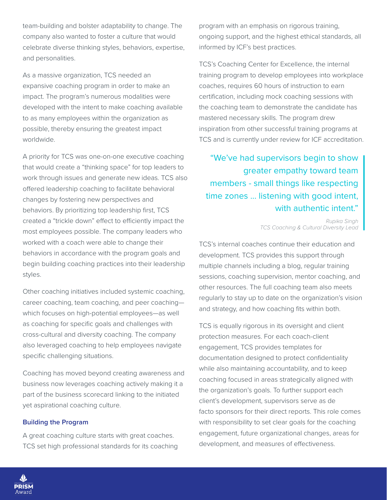team-building and bolster adaptability to change. The company also wanted to foster a culture that would celebrate diverse thinking styles, behaviors, expertise, and personalities.

As a massive organization, TCS needed an expansive coaching program in order to make an impact. The program's numerous modalities were developed with the intent to make coaching available to as many employees within the organization as possible, thereby ensuring the greatest impact worldwide.

A priority for TCS was one-on-one executive coaching that would create a "thinking space" for top leaders to work through issues and generate new ideas. TCS also offered leadership coaching to facilitate behavioral changes by fostering new perspectives and behaviors. By prioritizing top leadership first, TCS created a "trickle down" effect to efficiently impact the most employees possible. The company leaders who worked with a coach were able to change their behaviors in accordance with the program goals and begin building coaching practices into their leadership styles.

Other coaching initiatives included systemic coaching, career coaching, team coaching, and peer coaching which focuses on high-potential employees—as well as coaching for specific goals and challenges with cross-cultural and diversity coaching. The company also leveraged coaching to help employees navigate specific challenging situations.

Coaching has moved beyond creating awareness and business now leverages coaching actively making it a part of the business scorecard linking to the initiated yet aspirational coaching culture.

#### **Building the Program**

A great coaching culture starts with great coaches. TCS set high professional standards for its coaching program with an emphasis on rigorous training, ongoing support, and the highest ethical standards, all informed by ICF's best practices.

TCS's Coaching Center for Excellence, the internal training program to develop employees into workplace coaches, requires 60 hours of instruction to earn certification, including mock coaching sessions with the coaching team to demonstrate the candidate has mastered necessary skills. The program drew inspiration from other successful training programs at TCS and is currently under review for ICF accreditation.

"We've had supervisors begin to show greater empathy toward team members - small things like respecting time zones ... listening with good intent, with authentic intent."

> *Rupika Singh TCS Coaching & Cultural Diversity Lead*

TCS's internal coaches continue their education and development. TCS provides this support through multiple channels including a blog, regular training sessions, coaching supervision, mentor coaching, and other resources. The full coaching team also meets regularly to stay up to date on the organization's vision and strategy, and how coaching fits within both.

TCS is equally rigorous in its oversight and client protection measures. For each coach-client engagement, TCS provides templates for documentation designed to protect confidentiality while also maintaining accountability, and to keep coaching focused in areas strategically aligned with the organization's goals. To further support each client's development, supervisors serve as de facto sponsors for their direct reports. This role comes with responsibility to set clear goals for the coaching engagement, future organizational changes, areas for development, and measures of effectiveness.

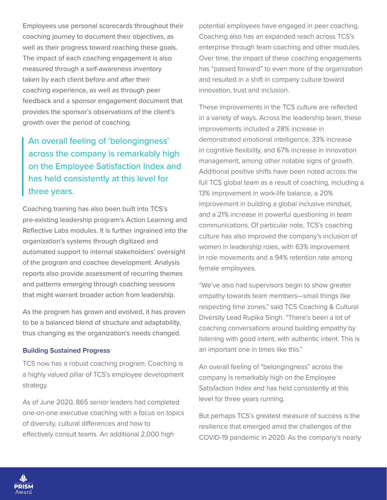Employees use personal scorecards throughout their coaching journey to document their objectives, as well as their progress toward reaching these goals. The impact of each coaching engagement is also measured through a self-awareness inventory taken by each client before and after their coaching experience, as well as through peer feedback and a sponsor engagement document that provides the sponsor's observations of the client's growth over the period of coaching.

### An overall feeling of 'belongingness' across the company is remarkably high on the Employee Satisfaction Index and has held consistently at this level for three years.

Coaching training has also been built into TCS's pre-existing leadership program's Action Learning and Reflective Labs modules. It is further ingrained into the organization's systems through digitized and automated support to internal stakeholders' oversight of the program and coachee development. Analysis reports also provide assessment of recurring themes and patterns emerging through coaching sessions that might warrant broader action from leadership.

As the program has grown and evolved, it has proven to be a balanced blend of structure and adaptability, thus changing as the organization's needs changed.

#### **Building Sustained Progress**

TCS now has a robust coaching program. Coaching is a highly valued pillar of TCS's employee development strategy.

As of June 2020, 865 senior leaders had completed one-on-one executive coaching with a focus on topics of diversity, cultural differences and how to effectively consult teams. An additional 2,000 high

potential employees have engaged in peer coaching. Coaching also has an expanded reach across TCS's enterprise through team coaching and other modules. Over time, the impact of these coaching engagements has "passed forward" to even more of the organization and resulted in a shift in company culture toward innovation, trust and inclusion.

These improvements in the TCS culture are reflected in a variety of ways. Across the leadership team, these improvements included a 28% increase in demonstrated emotional intelligence, 33% increase in cognitive flexibility, and 67% increase in innovation management, among other notable signs of growth. Additional positive shifts have been noted across the full TCS global team as a result of coaching, including a 13% improvement in work-life balance, a 20% improvement in building a global inclusive mindset, and a 21% increase in powerful questioning in team communications. Of particular note, TCS's coaching culture has also improved the company's inclusion of women in leadership roles, with 63% improvement in role movements and a 94% retention rate among female employees.

"We've also had supervisors begin to show greater empathy towards team members—small things like respecting time zones," said TCS Coaching & Cultural Diversity Lead Rupika Singh. "There's been a lot of coaching conversations around building empathy by listening with good intent, with authentic intent. This is an important one in times like this."

An overall feeling of "belongingness" across the company is remarkably high on the Employee Satisfaction Index and has held consistently at this level for three years running.

But perhaps TCS's greatest measure of success is the resilience that emerged amid the challenges of the COVID-19 pandemic in 2020. As the company's nearly